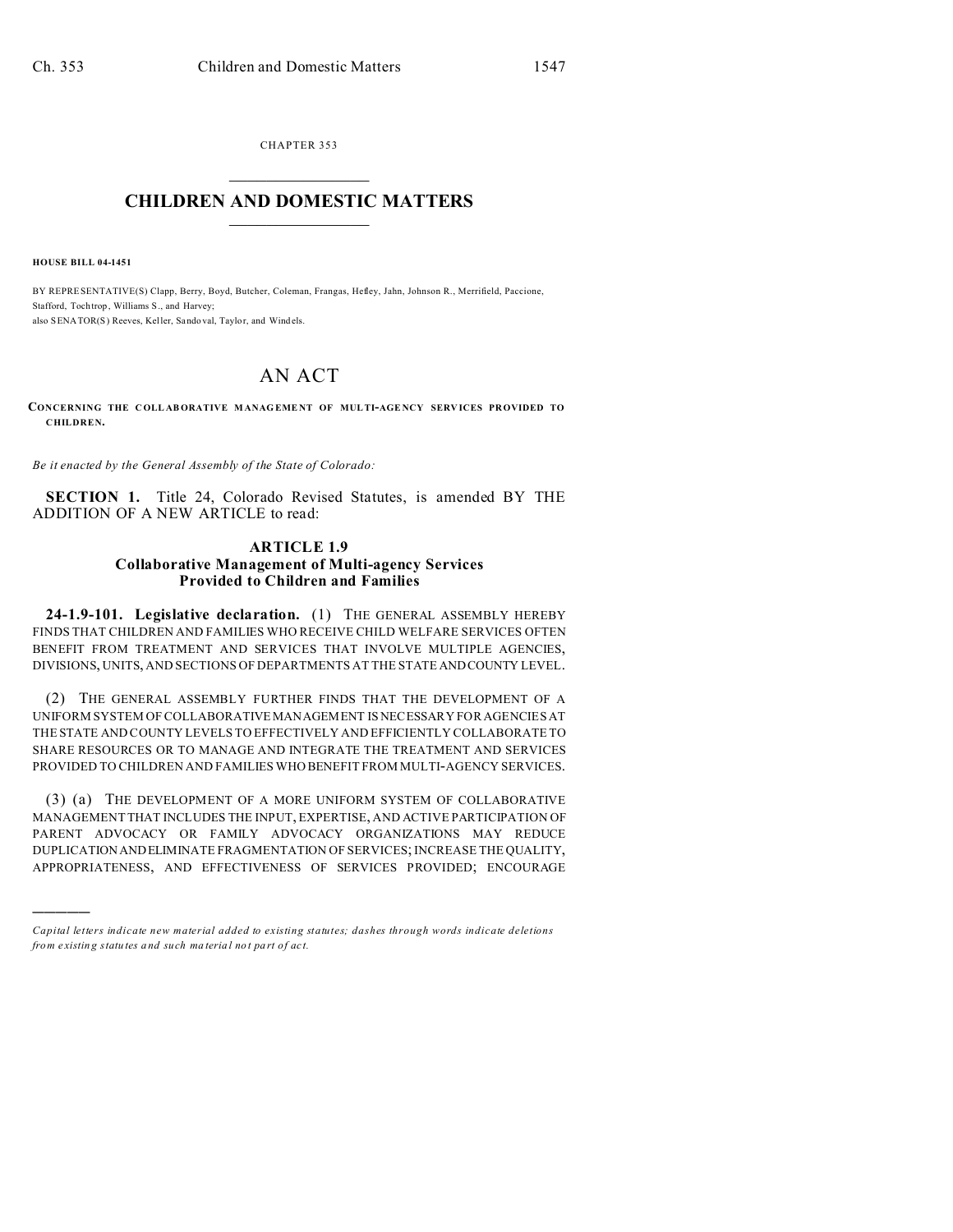CHAPTER 353  $\overline{\phantom{a}}$  , where  $\overline{\phantom{a}}$ 

## **CHILDREN AND DOMESTIC MATTERS**  $\_$   $\_$

**HOUSE BILL 04-1451**

)))))

BY REPRESENTATIVE(S) Clapp, Berry, Boyd, Butcher, Coleman, Frangas, Hefley, Jahn, Johnson R., Merrifield, Paccione, Stafford, Tochtrop, Williams S., and Harvey; also SENATOR(S) Reeves, Keller, Sando val, Taylor, and Windels.

# AN ACT

**CONCERNING THE COLL ABORATIVE M ANAG EME NT OF MULTI-AGE NCY SERV ICES PROVIDED TO CHILDREN.**

*Be it enacted by the General Assembly of the State of Colorado:*

**SECTION 1.** Title 24, Colorado Revised Statutes, is amended BY THE ADDITION OF A NEW ARTICLE to read:

## **ARTICLE 1.9 Collaborative Management of Multi-agency Services Provided to Children and Families**

**24-1.9-101. Legislative declaration.** (1) THE GENERAL ASSEMBLY HEREBY FINDS THAT CHILDREN AND FAMILIES WHO RECEIVE CHILD WELFARE SERVICES OFTEN BENEFIT FROM TREATMENT AND SERVICES THAT INVOLVE MULTIPLE AGENCIES, DIVISIONS, UNITS, AND SECTIONS OF DEPARTMENTS AT THE STATE ANDCOUNTY LEVEL.

(2) THE GENERAL ASSEMBLY FURTHER FINDS THAT THE DEVELOPMENT OF A UNIFORM SYSTEM OF COLLABORATIVE MANAGEMENT IS NECESSARY FOR AGENCIES AT THE STATE AND COUNTY LEVELS TO EFFECTIVELY AND EFFICIENTLY COLLABORATE TO SHARE RESOURCES OR TO MANAGE AND INTEGRATE THE TREATMENT AND SERVICES PROVIDED TO CHILDREN AND FAMILIES WHO BENEFIT FROM MULTI-AGENCY SERVICES.

(3) (a) THE DEVELOPMENT OF A MORE UNIFORM SYSTEM OF COLLABORATIVE MANAGEMENT THAT INCLUDES THE INPUT, EXPERTISE, AND ACTIVE PARTICIPATION OF PARENT ADVOCACY OR FAMILY ADVOCACY ORGANIZATIONS MAY REDUCE DUPLICATION ANDELIMINATE FRAGMENTATION OF SERVICES; INCREASE THE QUALITY, APPROPRIATENESS, AND EFFECTIVENESS OF SERVICES PROVIDED; ENCOURAGE

*Capital letters indicate new material added to existing statutes; dashes through words indicate deletions from e xistin g statu tes a nd such ma teria l no t pa rt of ac t.*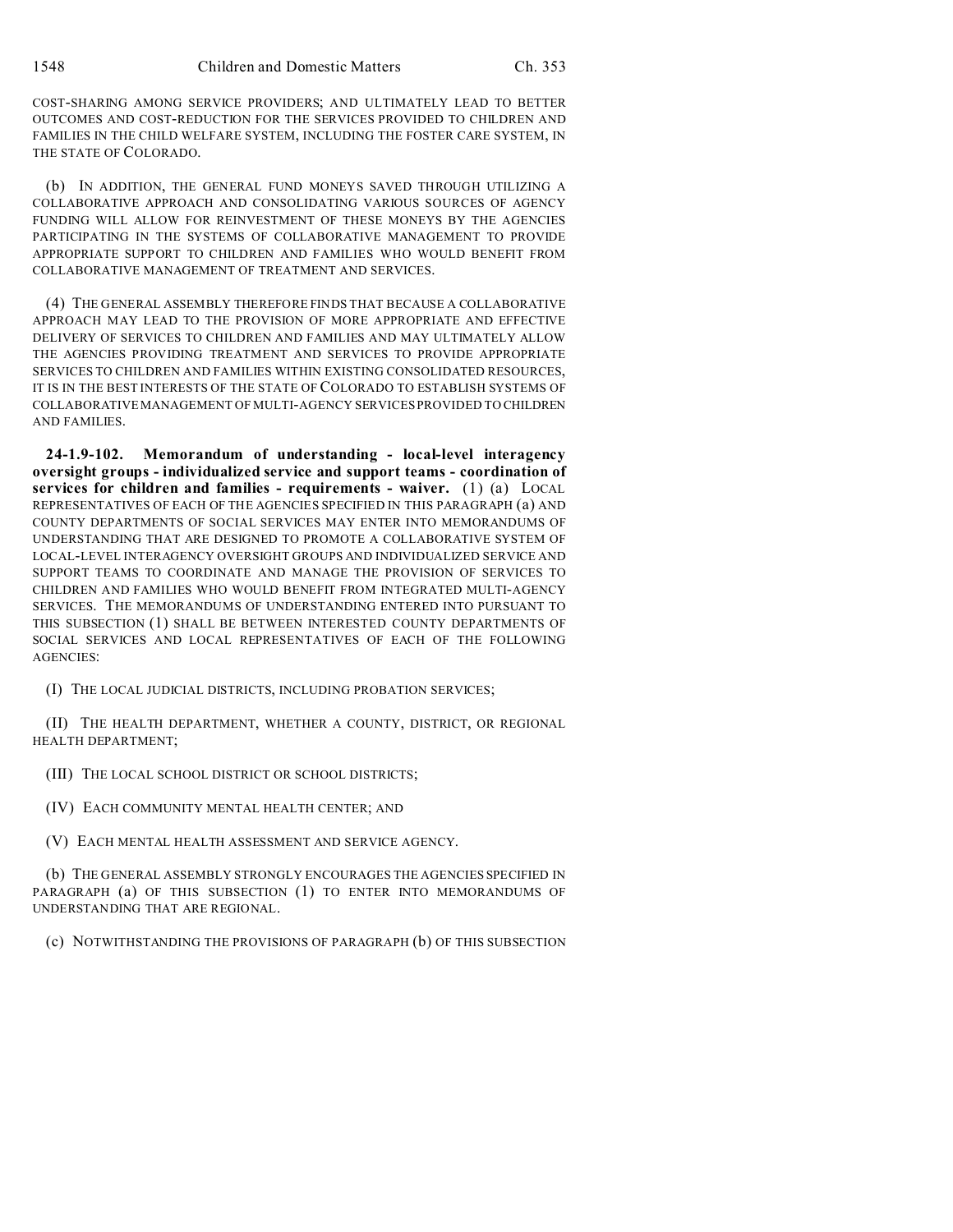COST-SHARING AMONG SERVICE PROVIDERS; AND ULTIMATELY LEAD TO BETTER OUTCOMES AND COST-REDUCTION FOR THE SERVICES PROVIDED TO CHILDREN AND FAMILIES IN THE CHILD WELFARE SYSTEM, INCLUDING THE FOSTER CARE SYSTEM, IN THE STATE OF COLORADO.

(b) IN ADDITION, THE GENERAL FUND MONEYS SAVED THROUGH UTILIZING A COLLABORATIVE APPROACH AND CONSOLIDATING VARIOUS SOURCES OF AGENCY FUNDING WILL ALLOW FOR REINVESTMENT OF THESE MONEYS BY THE AGENCIES PARTICIPATING IN THE SYSTEMS OF COLLABORATIVE MANAGEMENT TO PROVIDE APPROPRIATE SUPPORT TO CHILDREN AND FAMILIES WHO WOULD BENEFIT FROM COLLABORATIVE MANAGEMENT OF TREATMENT AND SERVICES.

(4) THE GENERAL ASSEMBLY THEREFORE FINDS THAT BECAUSE A COLLABORATIVE APPROACH MAY LEAD TO THE PROVISION OF MORE APPROPRIATE AND EFFECTIVE DELIVERY OF SERVICES TO CHILDREN AND FAMILIES AND MAY ULTIMATELY ALLOW THE AGENCIES PROVIDING TREATMENT AND SERVICES TO PROVIDE APPROPRIATE SERVICES TO CHILDREN AND FAMILIES WITHIN EXISTING CONSOLIDATED RESOURCES, IT IS IN THE BEST INTERESTS OF THE STATE OF COLORADO TO ESTABLISH SYSTEMS OF COLLABORATIVE MANAGEMENT OF MULTI-AGENCY SERVICES PROVIDED TO CHILDREN AND FAMILIES.

**24-1.9-102. Memorandum of understanding - local-level interagency oversight groups - individualized service and support teams - coordination of services for children and families - requirements - waiver.** (1) (a) LOCAL REPRESENTATIVES OF EACH OF THE AGENCIES SPECIFIED IN THIS PARAGRAPH (a) AND COUNTY DEPARTMENTS OF SOCIAL SERVICES MAY ENTER INTO MEMORANDUMS OF UNDERSTANDING THAT ARE DESIGNED TO PROMOTE A COLLABORATIVE SYSTEM OF LOCAL-LEVEL INTERAGENCY OVERSIGHT GROUPS AND INDIVIDUALIZED SERVICE AND SUPPORT TEAMS TO COORDINATE AND MANAGE THE PROVISION OF SERVICES TO CHILDREN AND FAMILIES WHO WOULD BENEFIT FROM INTEGRATED MULTI-AGENCY SERVICES. THE MEMORANDUMS OF UNDERSTANDING ENTERED INTO PURSUANT TO THIS SUBSECTION (1) SHALL BE BETWEEN INTERESTED COUNTY DEPARTMENTS OF SOCIAL SERVICES AND LOCAL REPRESENTATIVES OF EACH OF THE FOLLOWING AGENCIES:

(I) THE LOCAL JUDICIAL DISTRICTS, INCLUDING PROBATION SERVICES;

(II) THE HEALTH DEPARTMENT, WHETHER A COUNTY, DISTRICT, OR REGIONAL HEALTH DEPARTMENT;

(III) THE LOCAL SCHOOL DISTRICT OR SCHOOL DISTRICTS;

(IV) EACH COMMUNITY MENTAL HEALTH CENTER; AND

(V) EACH MENTAL HEALTH ASSESSMENT AND SERVICE AGENCY.

(b) THE GENERAL ASSEMBLY STRONGLY ENCOURAGES THE AGENCIES SPECIFIED IN PARAGRAPH (a) OF THIS SUBSECTION (1) TO ENTER INTO MEMORANDUMS OF UNDERSTANDING THAT ARE REGIONAL.

(c) NOTWITHSTANDING THE PROVISIONS OF PARAGRAPH (b) OF THIS SUBSECTION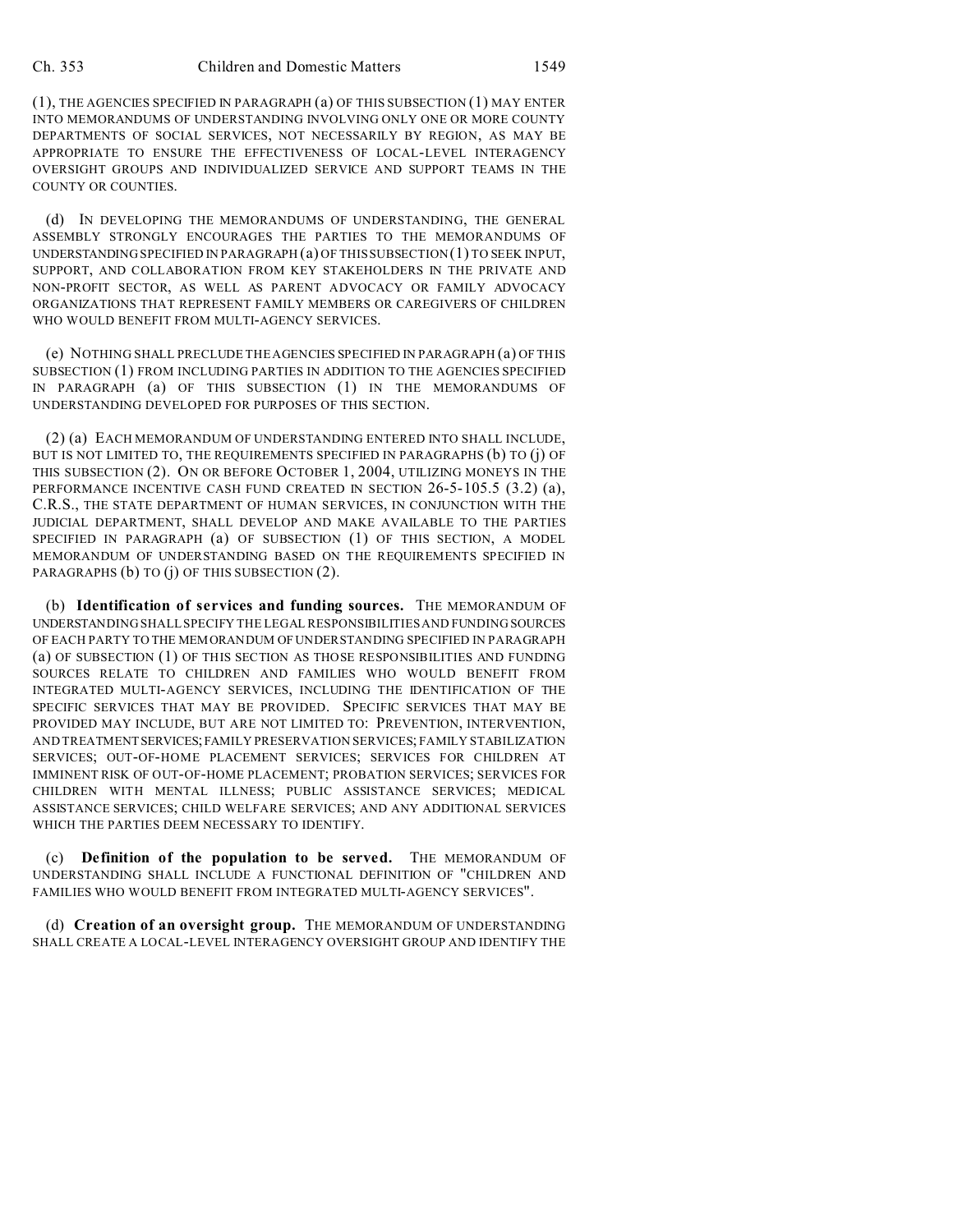(1), THE AGENCIES SPECIFIED IN PARAGRAPH (a) OF THIS SUBSECTION (1) MAY ENTER INTO MEMORANDUMS OF UNDERSTANDING INVOLVING ONLY ONE OR MORE COUNTY DEPARTMENTS OF SOCIAL SERVICES, NOT NECESSARILY BY REGION, AS MAY BE APPROPRIATE TO ENSURE THE EFFECTIVENESS OF LOCAL-LEVEL INTERAGENCY OVERSIGHT GROUPS AND INDIVIDUALIZED SERVICE AND SUPPORT TEAMS IN THE COUNTY OR COUNTIES.

(d) IN DEVELOPING THE MEMORANDUMS OF UNDERSTANDING, THE GENERAL ASSEMBLY STRONGLY ENCOURAGES THE PARTIES TO THE MEMORANDUMS OF UNDERSTANDING SPECIFIED IN PARAGRAPH (a) OF THIS SUBSECTION (1) TO SEEK INPUT, SUPPORT, AND COLLABORATION FROM KEY STAKEHOLDERS IN THE PRIVATE AND NON-PROFIT SECTOR, AS WELL AS PARENT ADVOCACY OR FAMILY ADVOCACY ORGANIZATIONS THAT REPRESENT FAMILY MEMBERS OR CAREGIVERS OF CHILDREN WHO WOULD BENEFIT FROM MULTI-AGENCY SERVICES.

(e) NOTHING SHALL PRECLUDE THE AGENCIES SPECIFIED IN PARAGRAPH (a) OF THIS SUBSECTION (1) FROM INCLUDING PARTIES IN ADDITION TO THE AGENCIES SPECIFIED IN PARAGRAPH (a) OF THIS SUBSECTION (1) IN THE MEMORANDUMS OF UNDERSTANDING DEVELOPED FOR PURPOSES OF THIS SECTION.

(2) (a) EACH MEMORANDUM OF UNDERSTANDING ENTERED INTO SHALL INCLUDE, BUT IS NOT LIMITED TO, THE REQUIREMENTS SPECIFIED IN PARAGRAPHS (b) TO (j) OF THIS SUBSECTION (2). ON OR BEFORE OCTOBER 1, 2004, UTILIZING MONEYS IN THE PERFORMANCE INCENTIVE CASH FUND CREATED IN SECTION 26-5-105.5 (3.2) (a), C.R.S., THE STATE DEPARTMENT OF HUMAN SERVICES, IN CONJUNCTION WITH THE JUDICIAL DEPARTMENT, SHALL DEVELOP AND MAKE AVAILABLE TO THE PARTIES SPECIFIED IN PARAGRAPH (a) OF SUBSECTION (1) OF THIS SECTION, A MODEL MEMORANDUM OF UNDERSTANDING BASED ON THE REQUIREMENTS SPECIFIED IN PARAGRAPHS (b) TO (j) OF THIS SUBSECTION (2).

(b) **Identification of services and funding sources.** THE MEMORANDUM OF UNDERSTANDING SHALL SPECIFY THE LEGAL RESPONSIBILITIES AND FUNDING SOURCES OF EACH PARTY TO THE MEMORANDUM OF UNDERSTANDING SPECIFIED IN PARAGRAPH (a) OF SUBSECTION (1) OF THIS SECTION AS THOSE RESPONSIBILITIES AND FUNDING SOURCES RELATE TO CHILDREN AND FAMILIES WHO WOULD BENEFIT FROM INTEGRATED MULTI-AGENCY SERVICES, INCLUDING THE IDENTIFICATION OF THE SPECIFIC SERVICES THAT MAY BE PROVIDED. SPECIFIC SERVICES THAT MAY BE PROVIDED MAY INCLUDE, BUT ARE NOT LIMITED TO: PREVENTION, INTERVENTION, AND TREATMENTSERVICES;FAMILY PRESERVATION SERVICES; FAMILY STABILIZATION SERVICES; OUT-OF-HOME PLACEMENT SERVICES; SERVICES FOR CHILDREN AT IMMINENT RISK OF OUT-OF-HOME PLACEMENT; PROBATION SERVICES; SERVICES FOR CHILDREN WITH MENTAL ILLNESS; PUBLIC ASSISTANCE SERVICES; MEDICAL ASSISTANCE SERVICES; CHILD WELFARE SERVICES; AND ANY ADDITIONAL SERVICES WHICH THE PARTIES DEEM NECESSARY TO IDENTIFY.

(c) **Definition of the population to be served.** THE MEMORANDUM OF UNDERSTANDING SHALL INCLUDE A FUNCTIONAL DEFINITION OF "CHILDREN AND FAMILIES WHO WOULD BENEFIT FROM INTEGRATED MULTI-AGENCY SERVICES".

(d) **Creation of an oversight group.** THE MEMORANDUM OF UNDERSTANDING SHALL CREATE A LOCAL-LEVEL INTERAGENCY OVERSIGHT GROUP AND IDENTIFY THE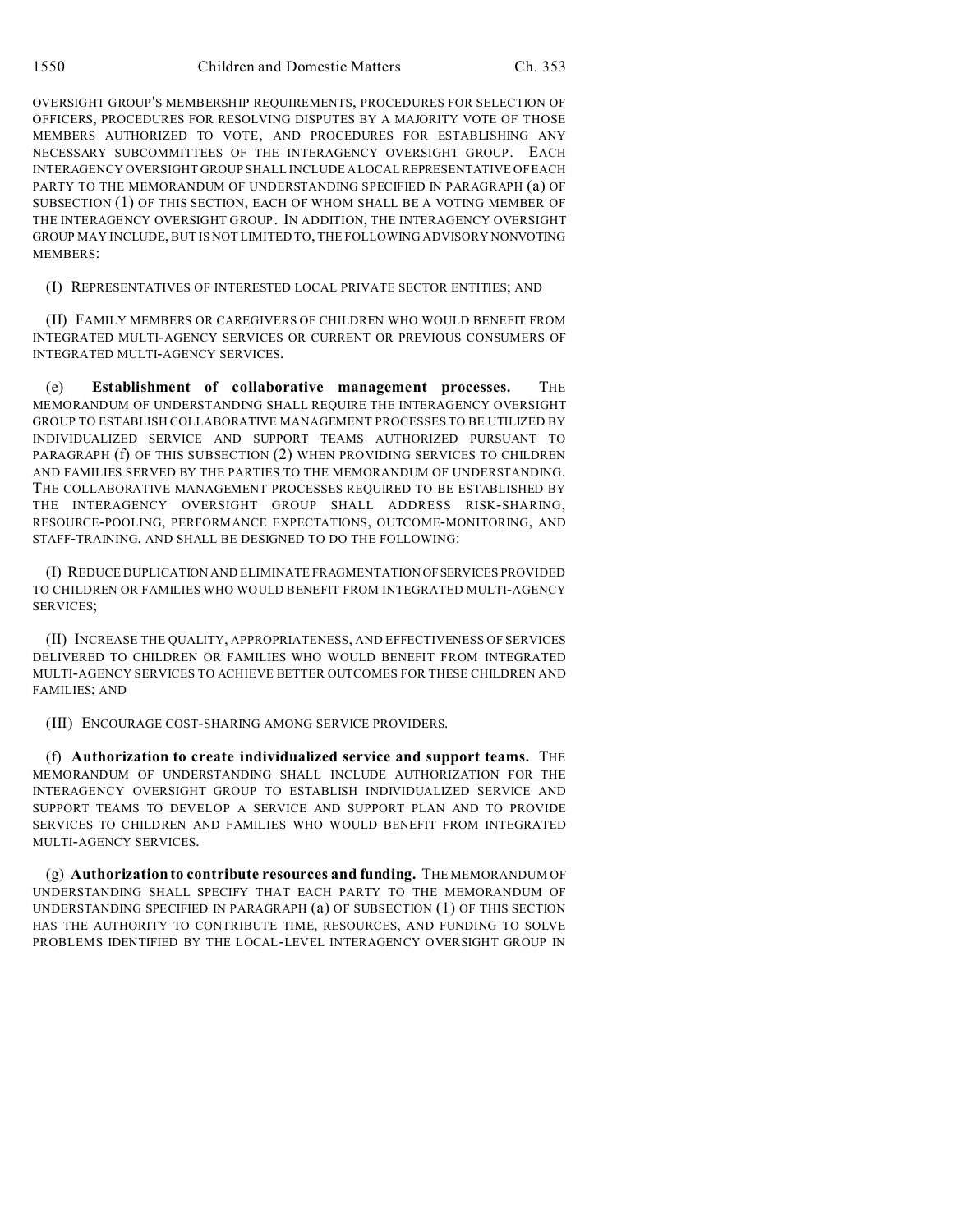OVERSIGHT GROUP'S MEMBERSHIP REQUIREMENTS, PROCEDURES FOR SELECTION OF OFFICERS, PROCEDURES FOR RESOLVING DISPUTES BY A MAJORITY VOTE OF THOSE MEMBERS AUTHORIZED TO VOTE, AND PROCEDURES FOR ESTABLISHING ANY NECESSARY SUBCOMMITTEES OF THE INTERAGENCY OVERSIGHT GROUP. EACH INTERAGENCY OVERSIGHT GROUP SHALL INCLUDE A LOCAL REPRESENTATIVE OF EACH PARTY TO THE MEMORANDUM OF UNDERSTANDING SPECIFIED IN PARAGRAPH (a) OF SUBSECTION (1) OF THIS SECTION, EACH OF WHOM SHALL BE A VOTING MEMBER OF THE INTERAGENCY OVERSIGHT GROUP. IN ADDITION, THE INTERAGENCY OVERSIGHT GROUP MAY INCLUDE, BUT IS NOT LIMITED TO, THE FOLLOWING ADVISORY NONVOTING MEMBERS:

(I) REPRESENTATIVES OF INTERESTED LOCAL PRIVATE SECTOR ENTITIES; AND

(II) FAMILY MEMBERS OR CAREGIVERS OF CHILDREN WHO WOULD BENEFIT FROM INTEGRATED MULTI-AGENCY SERVICES OR CURRENT OR PREVIOUS CONSUMERS OF INTEGRATED MULTI-AGENCY SERVICES.

(e) **Establishment of collaborative management processes.** THE MEMORANDUM OF UNDERSTANDING SHALL REQUIRE THE INTERAGENCY OVERSIGHT GROUP TO ESTABLISH COLLABORATIVE MANAGEMENT PROCESSES TO BE UTILIZED BY INDIVIDUALIZED SERVICE AND SUPPORT TEAMS AUTHORIZED PURSUANT TO PARAGRAPH (f) OF THIS SUBSECTION (2) WHEN PROVIDING SERVICES TO CHILDREN AND FAMILIES SERVED BY THE PARTIES TO THE MEMORANDUM OF UNDERSTANDING. THE COLLABORATIVE MANAGEMENT PROCESSES REQUIRED TO BE ESTABLISHED BY THE INTERAGENCY OVERSIGHT GROUP SHALL ADDRESS RISK-SHARING, RESOURCE-POOLING, PERFORMANCE EXPECTATIONS, OUTCOME-MONITORING, AND STAFF-TRAINING, AND SHALL BE DESIGNED TO DO THE FOLLOWING:

(I) REDUCE DUPLICATION AND ELIMINATE FRAGMENTATION OFSERVICES PROVIDED TO CHILDREN OR FAMILIES WHO WOULD BENEFIT FROM INTEGRATED MULTI-AGENCY SERVICES;

(II) INCREASE THE QUALITY, APPROPRIATENESS, AND EFFECTIVENESS OF SERVICES DELIVERED TO CHILDREN OR FAMILIES WHO WOULD BENEFIT FROM INTEGRATED MULTI-AGENCY SERVICES TO ACHIEVE BETTER OUTCOMES FOR THESE CHILDREN AND FAMILIES; AND

(III) ENCOURAGE COST-SHARING AMONG SERVICE PROVIDERS.

(f) **Authorization to create individualized service and support teams.** THE MEMORANDUM OF UNDERSTANDING SHALL INCLUDE AUTHORIZATION FOR THE INTERAGENCY OVERSIGHT GROUP TO ESTABLISH INDIVIDUALIZED SERVICE AND SUPPORT TEAMS TO DEVELOP A SERVICE AND SUPPORT PLAN AND TO PROVIDE SERVICES TO CHILDREN AND FAMILIES WHO WOULD BENEFIT FROM INTEGRATED MULTI-AGENCY SERVICES.

(g) **Authorization to contribute resources and funding.** THE MEMORANDUM OF UNDERSTANDING SHALL SPECIFY THAT EACH PARTY TO THE MEMORANDUM OF UNDERSTANDING SPECIFIED IN PARAGRAPH (a) OF SUBSECTION (1) OF THIS SECTION HAS THE AUTHORITY TO CONTRIBUTE TIME, RESOURCES, AND FUNDING TO SOLVE PROBLEMS IDENTIFIED BY THE LOCAL-LEVEL INTERAGENCY OVERSIGHT GROUP IN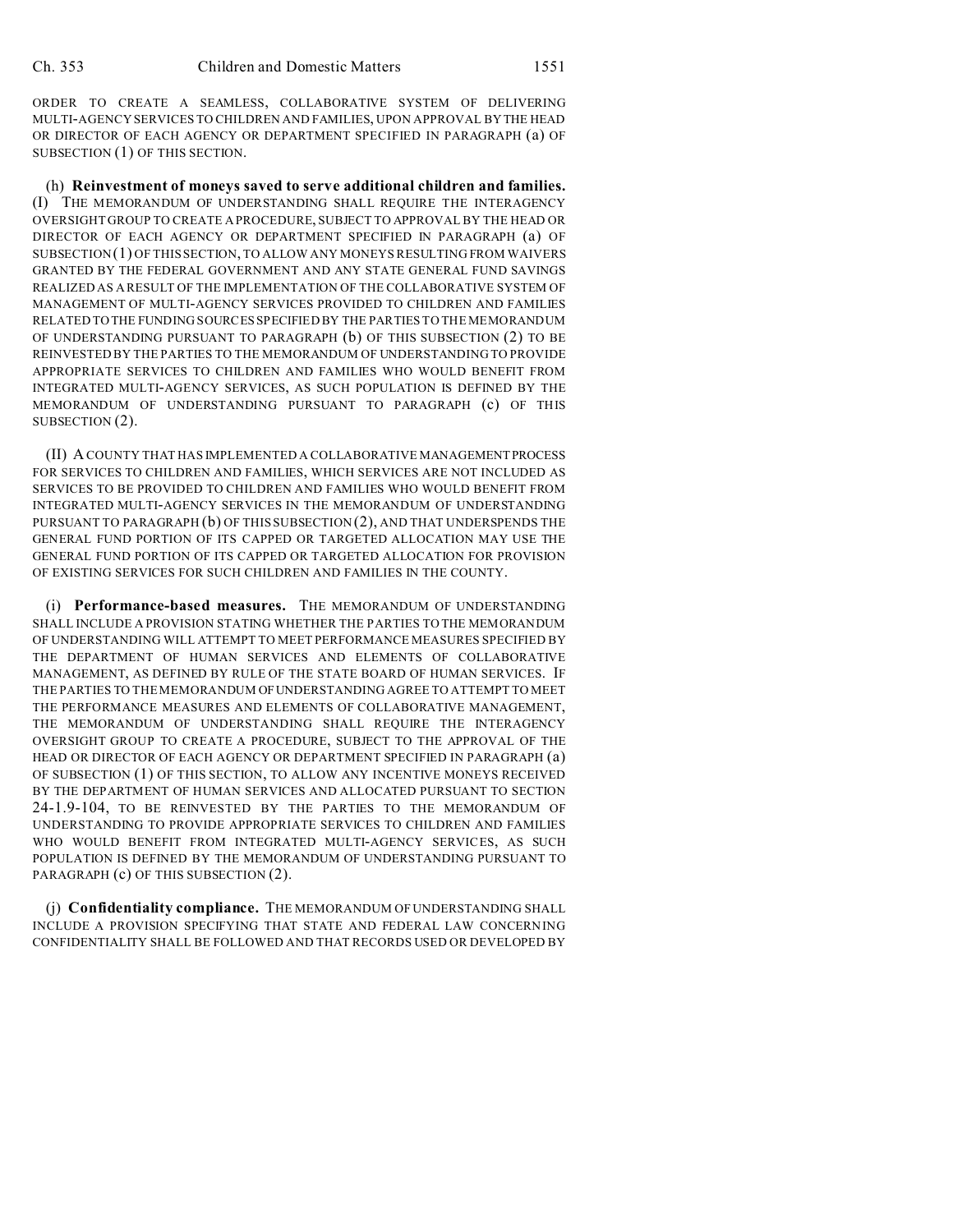ORDER TO CREATE A SEAMLESS, COLLABORATIVE SYSTEM OF DELIVERING MULTI-AGENCY SERVICES TO CHILDREN AND FAMILIES, UPON APPROVAL BY THE HEAD OR DIRECTOR OF EACH AGENCY OR DEPARTMENT SPECIFIED IN PARAGRAPH (a) OF SUBSECTION (1) OF THIS SECTION.

(h) **Reinvestment of moneys saved to serve additional children and families.** (I) THE MEMORANDUM OF UNDERSTANDING SHALL REQUIRE THE INTERAGENCY OVERSIGHT GROUP TO CREATE A PROCEDURE, SUBJECT TO APPROVAL BY THE HEAD OR DIRECTOR OF EACH AGENCY OR DEPARTMENT SPECIFIED IN PARAGRAPH (a) OF SUBSECTION(1) OF THIS SECTION, TO ALLOW ANY MONEYS RESULTING FROM WAIVERS GRANTED BY THE FEDERAL GOVERNMENT AND ANY STATE GENERAL FUND SAVINGS REALIZED AS A RESULT OF THE IMPLEMENTATION OF THE COLLABORATIVE SYSTEM OF MANAGEMENT OF MULTI-AGENCY SERVICES PROVIDED TO CHILDREN AND FAMILIES RELATED TO THE FUNDING SOURCES SPECIFIED BY THE PARTIES TO THE MEMORANDUM OF UNDERSTANDING PURSUANT TO PARAGRAPH (b) OF THIS SUBSECTION (2) TO BE REINVESTED BY THE PARTIES TO THE MEMORANDUM OF UNDERSTANDING TO PROVIDE APPROPRIATE SERVICES TO CHILDREN AND FAMILIES WHO WOULD BENEFIT FROM INTEGRATED MULTI-AGENCY SERVICES, AS SUCH POPULATION IS DEFINED BY THE MEMORANDUM OF UNDERSTANDING PURSUANT TO PARAGRAPH (c) OF THIS SUBSECTION (2).

(II) A COUNTY THAT HAS IMPLEMENTED A COLLABORATIVE MANAGEMENTPROCESS FOR SERVICES TO CHILDREN AND FAMILIES, WHICH SERVICES ARE NOT INCLUDED AS SERVICES TO BE PROVIDED TO CHILDREN AND FAMILIES WHO WOULD BENEFIT FROM INTEGRATED MULTI-AGENCY SERVICES IN THE MEMORANDUM OF UNDERSTANDING PURSUANT TO PARAGRAPH (b) OF THIS SUBSECTION (2), AND THAT UNDERSPENDS THE GENERAL FUND PORTION OF ITS CAPPED OR TARGETED ALLOCATION MAY USE THE GENERAL FUND PORTION OF ITS CAPPED OR TARGETED ALLOCATION FOR PROVISION OF EXISTING SERVICES FOR SUCH CHILDREN AND FAMILIES IN THE COUNTY.

(i) **Performance-based measures.** THE MEMORANDUM OF UNDERSTANDING SHALL INCLUDE A PROVISION STATING WHETHER THE PARTIES TO THE MEMORANDUM OF UNDERSTANDING WILL ATTEMPT TO MEET PERFORMANCE MEASURES SPECIFIED BY THE DEPARTMENT OF HUMAN SERVICES AND ELEMENTS OF COLLABORATIVE MANAGEMENT, AS DEFINED BY RULE OF THE STATE BOARD OF HUMAN SERVICES. IF THE PARTIES TO THE MEMORANDUM OF UNDERSTANDING AGREE TO ATTEMPT TO MEET THE PERFORMANCE MEASURES AND ELEMENTS OF COLLABORATIVE MANAGEMENT, THE MEMORANDUM OF UNDERSTANDING SHALL REQUIRE THE INTERAGENCY OVERSIGHT GROUP TO CREATE A PROCEDURE, SUBJECT TO THE APPROVAL OF THE HEAD OR DIRECTOR OF EACH AGENCY OR DEPARTMENT SPECIFIED IN PARAGRAPH (a) OF SUBSECTION (1) OF THIS SECTION, TO ALLOW ANY INCENTIVE MONEYS RECEIVED BY THE DEPARTMENT OF HUMAN SERVICES AND ALLOCATED PURSUANT TO SECTION 24-1.9-104, TO BE REINVESTED BY THE PARTIES TO THE MEMORANDUM OF UNDERSTANDING TO PROVIDE APPROPRIATE SERVICES TO CHILDREN AND FAMILIES WHO WOULD BENEFIT FROM INTEGRATED MULTI-AGENCY SERVICES, AS SUCH POPULATION IS DEFINED BY THE MEMORANDUM OF UNDERSTANDING PURSUANT TO PARAGRAPH (c) OF THIS SUBSECTION (2).

(j) **Confidentiality compliance.** THE MEMORANDUM OF UNDERSTANDING SHALL INCLUDE A PROVISION SPECIFYING THAT STATE AND FEDERAL LAW CONCERNING CONFIDENTIALITY SHALL BE FOLLOWED AND THAT RECORDS USED OR DEVELOPED BY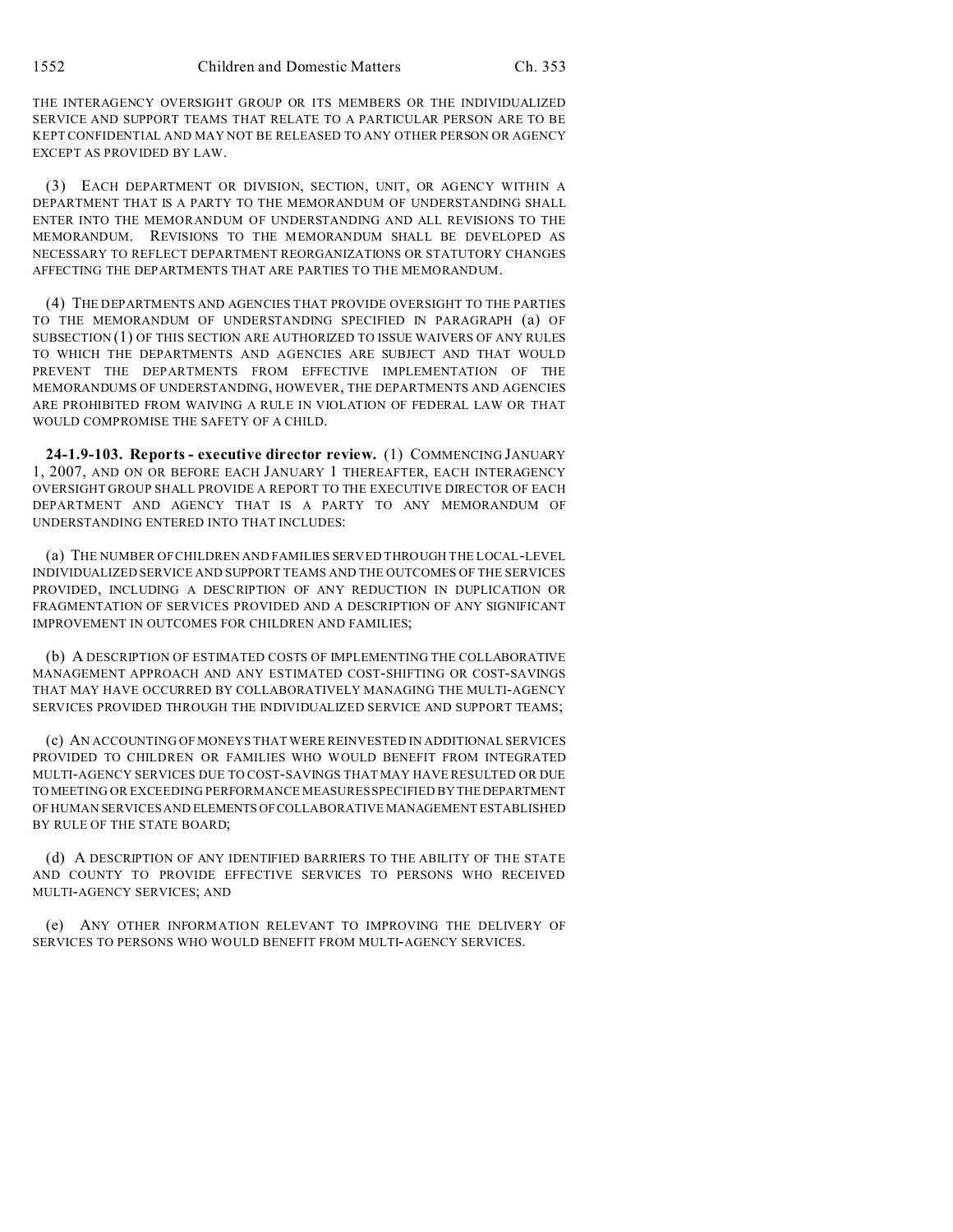THE INTERAGENCY OVERSIGHT GROUP OR ITS MEMBERS OR THE INDIVIDUALIZED SERVICE AND SUPPORT TEAMS THAT RELATE TO A PARTICULAR PERSON ARE TO BE KEPT CONFIDENTIAL AND MAY NOT BE RELEASED TO ANY OTHER PERSON OR AGENCY EXCEPT AS PROVIDED BY LAW.

(3) EACH DEPARTMENT OR DIVISION, SECTION, UNIT, OR AGENCY WITHIN A DEPARTMENT THAT IS A PARTY TO THE MEMORANDUM OF UNDERSTANDING SHALL ENTER INTO THE MEMORANDUM OF UNDERSTANDING AND ALL REVISIONS TO THE MEMORANDUM. REVISIONS TO THE MEMORANDUM SHALL BE DEVELOPED AS NECESSARY TO REFLECT DEPARTMENT REORGANIZATIONS OR STATUTORY CHANGES AFFECTING THE DEPARTMENTS THAT ARE PARTIES TO THE MEMORANDUM.

(4) THE DEPARTMENTS AND AGENCIES THAT PROVIDE OVERSIGHT TO THE PARTIES TO THE MEMORANDUM OF UNDERSTANDING SPECIFIED IN PARAGRAPH (a) OF SUBSECTION (1) OF THIS SECTION ARE AUTHORIZED TO ISSUE WAIVERS OF ANY RULES TO WHICH THE DEPARTMENTS AND AGENCIES ARE SUBJECT AND THAT WOULD PREVENT THE DEPARTMENTS FROM EFFECTIVE IMPLEMENTATION OF THE MEMORANDUMS OF UNDERSTANDING, HOWEVER, THE DEPARTMENTS AND AGENCIES ARE PROHIBITED FROM WAIVING A RULE IN VIOLATION OF FEDERAL LAW OR THAT WOULD COMPROMISE THE SAFETY OF A CHILD.

**24-1.9-103. Reports - executive director review.** (1) COMMENCING JANUARY 1, 2007, AND ON OR BEFORE EACH JANUARY 1 THEREAFTER, EACH INTERAGENCY OVERSIGHT GROUP SHALL PROVIDE A REPORT TO THE EXECUTIVE DIRECTOR OF EACH DEPARTMENT AND AGENCY THAT IS A PARTY TO ANY MEMORANDUM OF UNDERSTANDING ENTERED INTO THAT INCLUDES:

(a) THE NUMBER OF CHILDREN AND FAMILIES SERVED THROUGH THE LOCAL-LEVEL INDIVIDUALIZED SERVICE AND SUPPORT TEAMS AND THE OUTCOMES OF THE SERVICES PROVIDED, INCLUDING A DESCRIPTION OF ANY REDUCTION IN DUPLICATION OR FRAGMENTATION OF SERVICES PROVIDED AND A DESCRIPTION OF ANY SIGNIFICANT IMPROVEMENT IN OUTCOMES FOR CHILDREN AND FAMILIES;

(b) A DESCRIPTION OF ESTIMATED COSTS OF IMPLEMENTING THE COLLABORATIVE MANAGEMENT APPROACH AND ANY ESTIMATED COST-SHIFTING OR COST-SAVINGS THAT MAY HAVE OCCURRED BY COLLABORATIVELY MANAGING THE MULTI-AGENCY SERVICES PROVIDED THROUGH THE INDIVIDUALIZED SERVICE AND SUPPORT TEAMS;

(c) AN ACCOUNTING OF MONEYS THAT WERE REINVESTED IN ADDITIONAL SERVICES PROVIDED TO CHILDREN OR FAMILIES WHO WOULD BENEFIT FROM INTEGRATED MULTI-AGENCY SERVICES DUE TO COST-SAVINGS THAT MAY HAVE RESULTED OR DUE TO MEETING OR EXCEEDING PERFORMANCE MEASURES SPECIFIED BY THEDEPARTMENT OF HUMAN SERVICES AND ELEMENTS OF COLLABORATIVE MANAGEMENT ESTABLISHED BY RULE OF THE STATE BOARD;

(d) A DESCRIPTION OF ANY IDENTIFIED BARRIERS TO THE ABILITY OF THE STATE AND COUNTY TO PROVIDE EFFECTIVE SERVICES TO PERSONS WHO RECEIVED MULTI-AGENCY SERVICES; AND

(e) ANY OTHER INFORMATION RELEVANT TO IMPROVING THE DELIVERY OF SERVICES TO PERSONS WHO WOULD BENEFIT FROM MULTI-AGENCY SERVICES.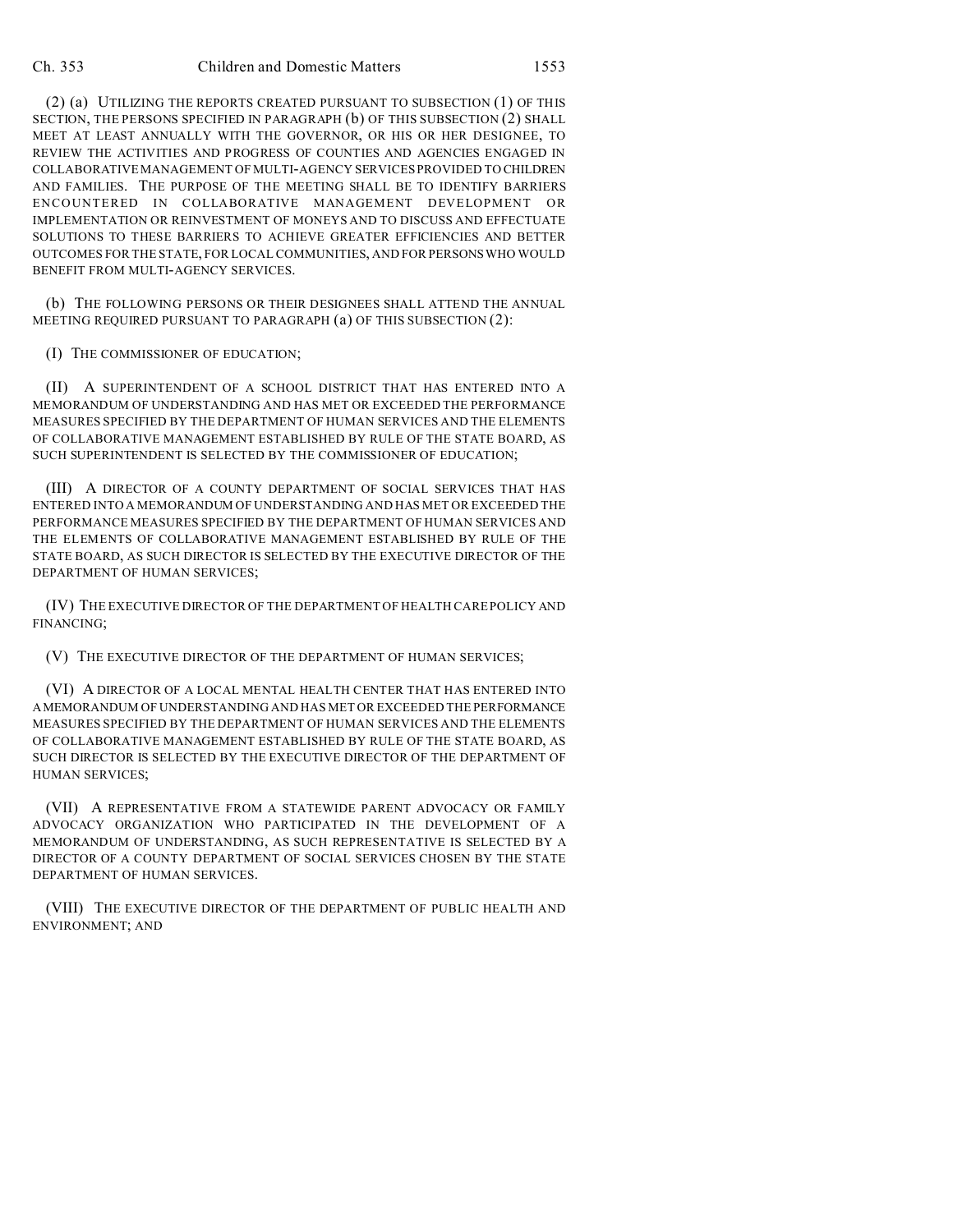#### Ch. 353 Children and Domestic Matters 1553

(2) (a) UTILIZING THE REPORTS CREATED PURSUANT TO SUBSECTION (1) OF THIS SECTION, THE PERSONS SPECIFIED IN PARAGRAPH (b) OF THIS SUBSECTION (2) SHALL MEET AT LEAST ANNUALLY WITH THE GOVERNOR, OR HIS OR HER DESIGNEE, TO REVIEW THE ACTIVITIES AND PROGRESS OF COUNTIES AND AGENCIES ENGAGED IN COLLABORATIVE MANAGEMENT OF MULTI-AGENCY SERVICES PROVIDED TO CHILDREN AND FAMILIES. THE PURPOSE OF THE MEETING SHALL BE TO IDENTIFY BARRIERS ENCOUNTERED IN COLLABORATIVE MANAGEMENT DEVELOPMENT OR IMPLEMENTATION OR REINVESTMENT OF MONEYS AND TO DISCUSS AND EFFECTUATE SOLUTIONS TO THESE BARRIERS TO ACHIEVE GREATER EFFICIENCIES AND BETTER OUTCOMES FOR THE STATE, FOR LOCAL COMMUNITIES, AND FOR PERSONSWHO WOULD BENEFIT FROM MULTI-AGENCY SERVICES.

(b) THE FOLLOWING PERSONS OR THEIR DESIGNEES SHALL ATTEND THE ANNUAL MEETING REQUIRED PURSUANT TO PARAGRAPH (a) OF THIS SUBSECTION (2):

(I) THE COMMISSIONER OF EDUCATION;

(II) A SUPERINTENDENT OF A SCHOOL DISTRICT THAT HAS ENTERED INTO A MEMORANDUM OF UNDERSTANDING AND HAS MET OR EXCEEDED THE PERFORMANCE MEASURES SPECIFIED BY THE DEPARTMENT OF HUMAN SERVICES AND THE ELEMENTS OF COLLABORATIVE MANAGEMENT ESTABLISHED BY RULE OF THE STATE BOARD, AS SUCH SUPERINTENDENT IS SELECTED BY THE COMMISSIONER OF EDUCATION;

(III) A DIRECTOR OF A COUNTY DEPARTMENT OF SOCIAL SERVICES THAT HAS ENTERED INTO A MEMORANDUM OF UNDERSTANDING AND HAS MET OR EXCEEDED THE PERFORMANCE MEASURES SPECIFIED BY THE DEPARTMENT OF HUMAN SERVICES AND THE ELEMENTS OF COLLABORATIVE MANAGEMENT ESTABLISHED BY RULE OF THE STATE BOARD, AS SUCH DIRECTOR IS SELECTED BY THE EXECUTIVE DIRECTOR OF THE DEPARTMENT OF HUMAN SERVICES;

(IV) THE EXECUTIVE DIRECTOR OF THE DEPARTMENT OF HEALTH CARE POLICY AND FINANCING;

(V) THE EXECUTIVE DIRECTOR OF THE DEPARTMENT OF HUMAN SERVICES;

(VI) A DIRECTOR OF A LOCAL MENTAL HEALTH CENTER THAT HAS ENTERED INTO AMEMORANDUM OF UNDERSTANDING AND HAS MET OR EXCEEDED THE PERFORMANCE MEASURES SPECIFIED BY THE DEPARTMENT OF HUMAN SERVICES AND THE ELEMENTS OF COLLABORATIVE MANAGEMENT ESTABLISHED BY RULE OF THE STATE BOARD, AS SUCH DIRECTOR IS SELECTED BY THE EXECUTIVE DIRECTOR OF THE DEPARTMENT OF HUMAN SERVICES;

(VII) A REPRESENTATIVE FROM A STATEWIDE PARENT ADVOCACY OR FAMILY ADVOCACY ORGANIZATION WHO PARTICIPATED IN THE DEVELOPMENT OF A MEMORANDUM OF UNDERSTANDING, AS SUCH REPRESENTATIVE IS SELECTED BY A DIRECTOR OF A COUNTY DEPARTMENT OF SOCIAL SERVICES CHOSEN BY THE STATE DEPARTMENT OF HUMAN SERVICES.

(VIII) THE EXECUTIVE DIRECTOR OF THE DEPARTMENT OF PUBLIC HEALTH AND ENVIRONMENT; AND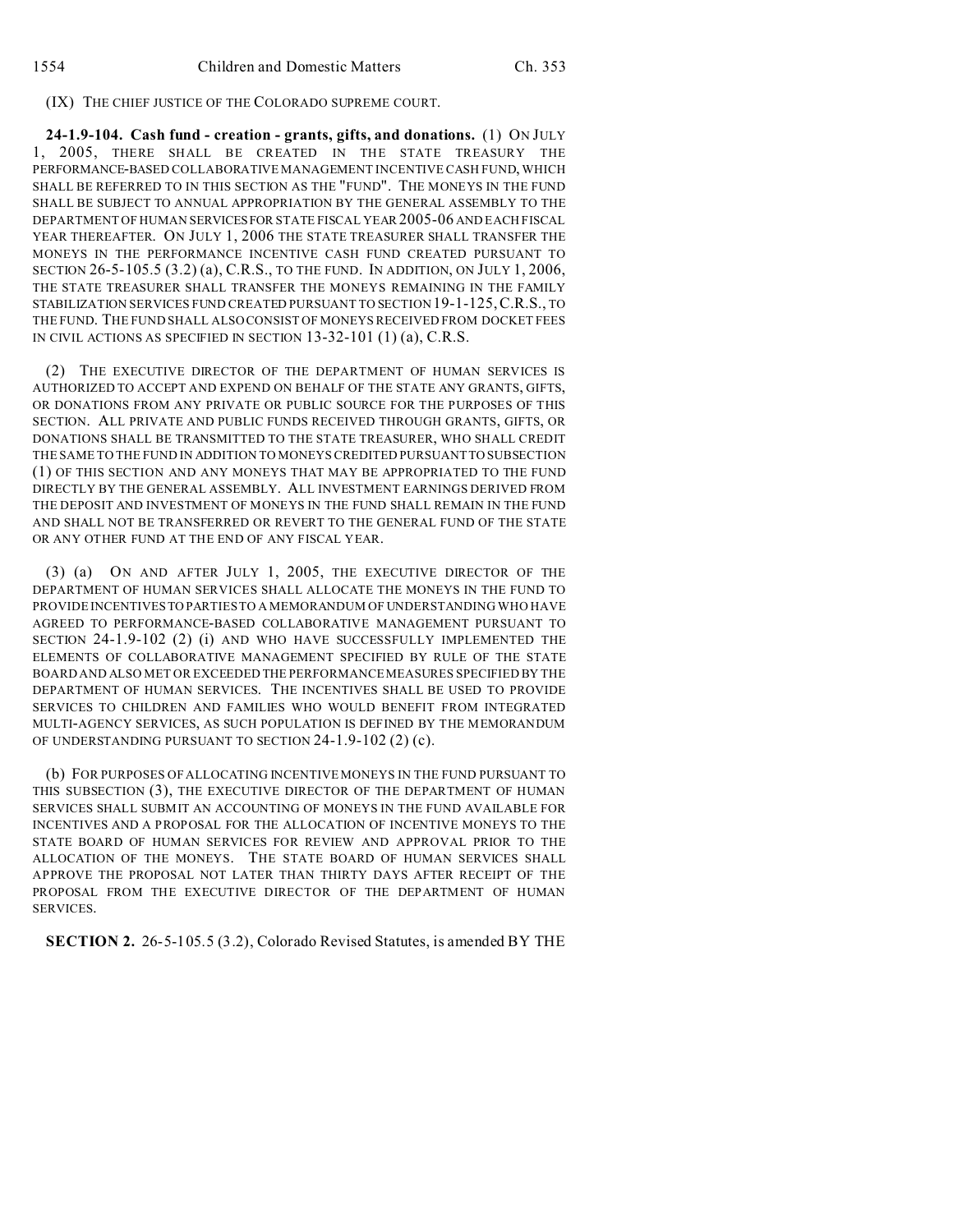# (IX) THE CHIEF JUSTICE OF THE COLORADO SUPREME COURT.

**24-1.9-104. Cash fund - creation - grants, gifts, and donations.** (1) ON JULY 1, 2005, THERE SHALL BE CREATED IN THE STATE TREASURY THE PERFORMANCE-BASED COLLABORATIVE MANAGEMENT INCENTIVE CASH FUND, WHICH SHALL BE REFERRED TO IN THIS SECTION AS THE "FUND". THE MONEYS IN THE FUND SHALL BE SUBJECT TO ANNUAL APPROPRIATION BY THE GENERAL ASSEMBLY TO THE DEPARTMENT OF HUMAN SERVICESFOR STATE FISCAL YEAR 2005-06 AND EACH FISCAL YEAR THEREAFTER. ON JULY 1, 2006 THE STATE TREASURER SHALL TRANSFER THE MONEYS IN THE PERFORMANCE INCENTIVE CASH FUND CREATED PURSUANT TO SECTION 26-5-105.5 (3.2) (a), C.R.S., TO THE FUND. IN ADDITION, ON JULY 1, 2006, THE STATE TREASURER SHALL TRANSFER THE MONEYS REMAINING IN THE FAMILY STABILIZATION SERVICES FUND CREATED PURSUANT TO SECTION 19-1-125,C.R.S., TO THE FUND. THE FUND SHALL ALSO CONSIST OF MONEYS RECEIVED FROM DOCKET FEES IN CIVIL ACTIONS AS SPECIFIED IN SECTION 13-32-101 (1) (a), C.R.S.

(2) THE EXECUTIVE DIRECTOR OF THE DEPARTMENT OF HUMAN SERVICES IS AUTHORIZED TO ACCEPT AND EXPEND ON BEHALF OF THE STATE ANY GRANTS, GIFTS, OR DONATIONS FROM ANY PRIVATE OR PUBLIC SOURCE FOR THE PURPOSES OF THIS SECTION. ALL PRIVATE AND PUBLIC FUNDS RECEIVED THROUGH GRANTS, GIFTS, OR DONATIONS SHALL BE TRANSMITTED TO THE STATE TREASURER, WHO SHALL CREDIT THE SAME TO THE FUND IN ADDITION TO MONEYS CREDITED PURSUANT TO SUBSECTION (1) OF THIS SECTION AND ANY MONEYS THAT MAY BE APPROPRIATED TO THE FUND DIRECTLY BY THE GENERAL ASSEMBLY. ALL INVESTMENT EARNINGS DERIVED FROM THE DEPOSIT AND INVESTMENT OF MONEYS IN THE FUND SHALL REMAIN IN THE FUND AND SHALL NOT BE TRANSFERRED OR REVERT TO THE GENERAL FUND OF THE STATE OR ANY OTHER FUND AT THE END OF ANY FISCAL YEAR.

(3) (a) ON AND AFTER JULY 1, 2005, THE EXECUTIVE DIRECTOR OF THE DEPARTMENT OF HUMAN SERVICES SHALL ALLOCATE THE MONEYS IN THE FUND TO PROVIDE INCENTIVES TO PARTIES TO A MEMORANDUM OF UNDERSTANDING WHO HAVE AGREED TO PERFORMANCE-BASED COLLABORATIVE MANAGEMENT PURSUANT TO SECTION 24-1.9-102 (2) (i) AND WHO HAVE SUCCESSFULLY IMPLEMENTED THE ELEMENTS OF COLLABORATIVE MANAGEMENT SPECIFIED BY RULE OF THE STATE BOARD AND ALSO MET OR EXCEEDED THE PERFORMANCE MEASURES SPECIFIED BY THE DEPARTMENT OF HUMAN SERVICES. THE INCENTIVES SHALL BE USED TO PROVIDE SERVICES TO CHILDREN AND FAMILIES WHO WOULD BENEFIT FROM INTEGRATED MULTI-AGENCY SERVICES, AS SUCH POPULATION IS DEFINED BY THE MEMORANDUM OF UNDERSTANDING PURSUANT TO SECTION 24-1.9-102 (2) (c).

(b) FOR PURPOSES OF ALLOCATING INCENTIVE MONEYS IN THE FUND PURSUANT TO THIS SUBSECTION (3), THE EXECUTIVE DIRECTOR OF THE DEPARTMENT OF HUMAN SERVICES SHALL SUBMIT AN ACCOUNTING OF MONEYS IN THE FUND AVAILABLE FOR INCENTIVES AND A PROPOSAL FOR THE ALLOCATION OF INCENTIVE MONEYS TO THE STATE BOARD OF HUMAN SERVICES FOR REVIEW AND APPROVAL PRIOR TO THE ALLOCATION OF THE MONEYS. THE STATE BOARD OF HUMAN SERVICES SHALL APPROVE THE PROPOSAL NOT LATER THAN THIRTY DAYS AFTER RECEIPT OF THE PROPOSAL FROM THE EXECUTIVE DIRECTOR OF THE DEPARTMENT OF HUMAN SERVICES.

**SECTION 2.** 26-5-105.5 (3.2), Colorado Revised Statutes, is amended BY THE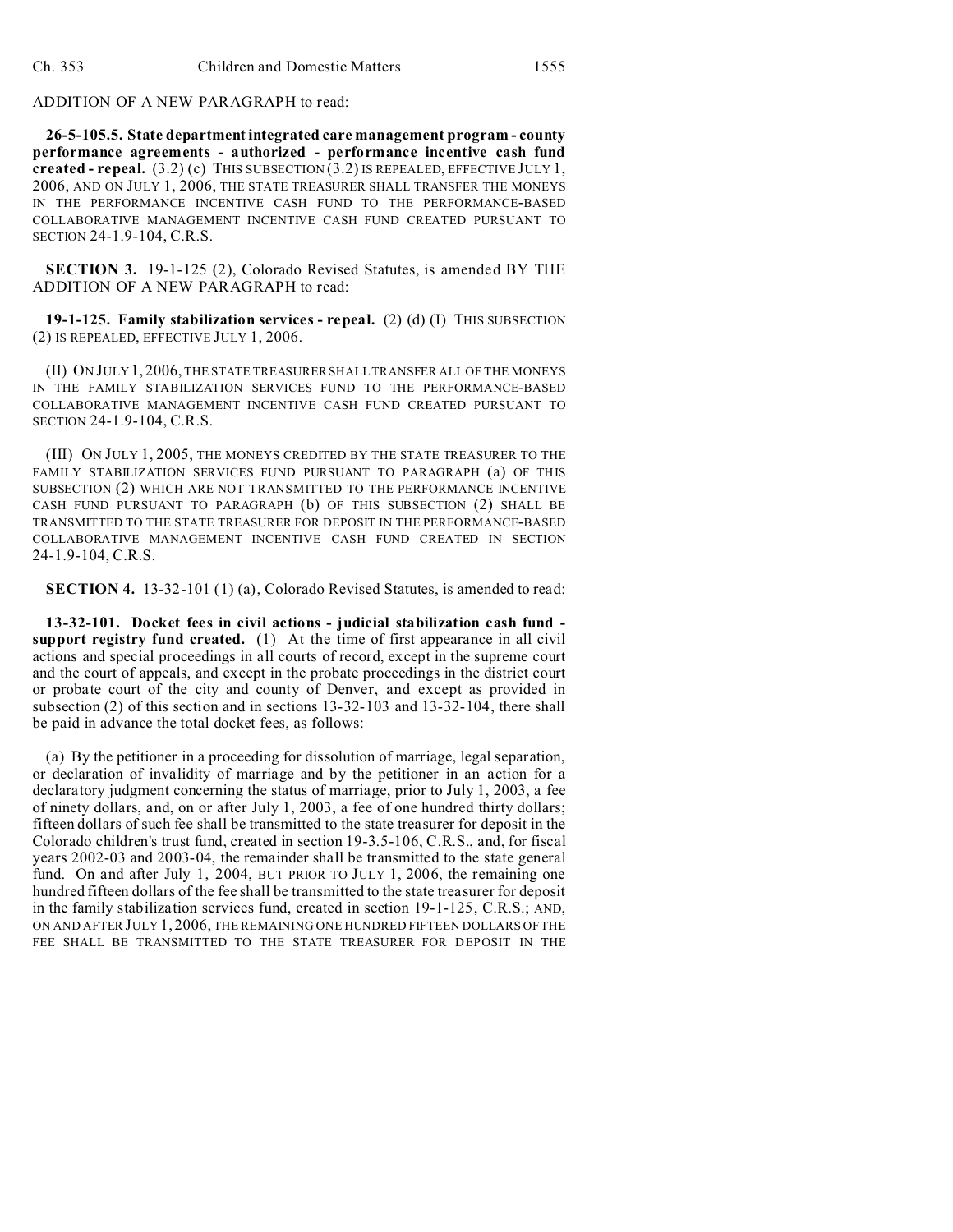### ADDITION OF A NEW PARAGRAPH to read:

**26-5-105.5. State department integrated care management program - county performance agreements - authorized - performance incentive cash fund created - repeal.** (3.2) (c) THIS SUBSECTION (3.2) IS REPEALED, EFFECTIVE JULY 1, 2006, AND ON JULY 1, 2006, THE STATE TREASURER SHALL TRANSFER THE MONEYS IN THE PERFORMANCE INCENTIVE CASH FUND TO THE PERFORMANCE-BASED COLLABORATIVE MANAGEMENT INCENTIVE CASH FUND CREATED PURSUANT TO SECTION 24-1.9-104, C.R.S.

**SECTION 3.** 19-1-125 (2), Colorado Revised Statutes, is amended BY THE ADDITION OF A NEW PARAGRAPH to read:

**19-1-125. Family stabilization services - repeal.** (2) (d) (I) THIS SUBSECTION (2) IS REPEALED, EFFECTIVE JULY 1, 2006.

(II) ON JULY 1, 2006, THE STATE TREASURER SHALL TRANSFER ALL OF THE MONEYS IN THE FAMILY STABILIZATION SERVICES FUND TO THE PERFORMANCE-BASED COLLABORATIVE MANAGEMENT INCENTIVE CASH FUND CREATED PURSUANT TO SECTION 24-1.9-104, C.R.S.

(III) ON JULY 1, 2005, THE MONEYS CREDITED BY THE STATE TREASURER TO THE FAMILY STABILIZATION SERVICES FUND PURSUANT TO PARAGRAPH (a) OF THIS SUBSECTION (2) WHICH ARE NOT TRANSMITTED TO THE PERFORMANCE INCENTIVE CASH FUND PURSUANT TO PARAGRAPH (b) OF THIS SUBSECTION (2) SHALL BE TRANSMITTED TO THE STATE TREASURER FOR DEPOSIT IN THE PERFORMANCE-BASED COLLABORATIVE MANAGEMENT INCENTIVE CASH FUND CREATED IN SECTION 24-1.9-104, C.R.S.

**SECTION 4.** 13-32-101 (1) (a), Colorado Revised Statutes, is amended to read:

**13-32-101. Docket fees in civil actions - judicial stabilization cash fund support registry fund created.** (1) At the time of first appearance in all civil actions and special proceedings in all courts of record, except in the supreme court and the court of appeals, and except in the probate proceedings in the district court or probate court of the city and county of Denver, and except as provided in subsection (2) of this section and in sections 13-32-103 and 13-32-104, there shall be paid in advance the total docket fees, as follows:

(a) By the petitioner in a proceeding for dissolution of marriage, legal separation, or declaration of invalidity of marriage and by the petitioner in an action for a declaratory judgment concerning the status of marriage, prior to July 1, 2003, a fee of ninety dollars, and, on or after July 1, 2003, a fee of one hundred thirty dollars; fifteen dollars of such fee shall be transmitted to the state treasurer for deposit in the Colorado children's trust fund, created in section 19-3.5-106, C.R.S., and, for fiscal years 2002-03 and 2003-04, the remainder shall be transmitted to the state general fund. On and after July 1, 2004, BUT PRIOR TO JULY 1, 2006, the remaining one hundred fifteen dollars of the fee shall be transmitted to the state treasurer for deposit in the family stabilization services fund, created in section 19-1-125, C.R.S.; AND, ON AND AFTER JULY 1, 2006, THE REMAINING ONE HUNDRED FIFTEEN DOLLARS OF THE FEE SHALL BE TRANSMITTED TO THE STATE TREASURER FOR DEPOSIT IN THE